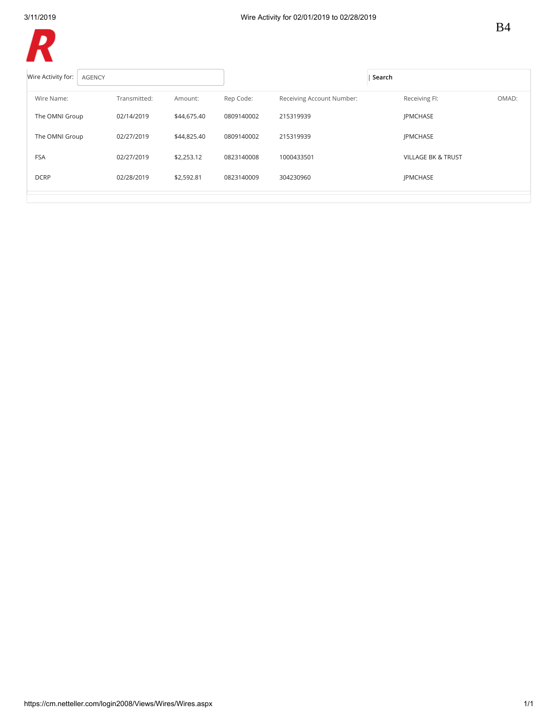R

| $\blacksquare$                      |              |             |            |                           |                               |       |
|-------------------------------------|--------------|-------------|------------|---------------------------|-------------------------------|-------|
| Wire Activity for:<br><b>AGENCY</b> |              |             |            |                           | Search                        |       |
| Wire Name:                          | Transmitted: | Amount:     | Rep Code:  | Receiving Account Number: | Receiving FI:                 | OMAD: |
| The OMNI Group                      | 02/14/2019   | \$44,675.40 | 0809140002 | 215319939                 | <b>IPMCHASE</b>               |       |
| The OMNI Group                      | 02/27/2019   | \$44,825.40 | 0809140002 | 215319939                 | <b>IPMCHASE</b>               |       |
| <b>FSA</b>                          | 02/27/2019   | \$2,253.12  | 0823140008 | 1000433501                | <b>VILLAGE BK &amp; TRUST</b> |       |
| <b>DCRP</b>                         | 02/28/2019   | \$2,592.81  | 0823140009 | 304230960                 | JPMCHASE                      |       |
|                                     |              |             |            |                           |                               |       |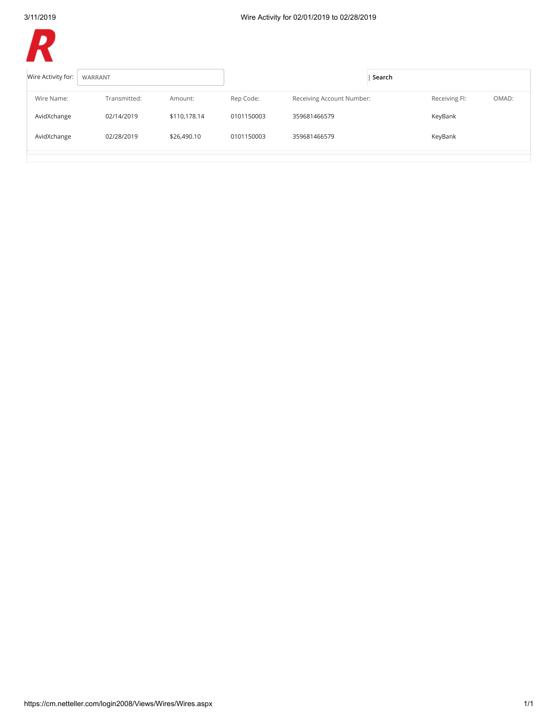D

| Wire Activity for: | WARRANT      |              |            |                           | Search |               |       |
|--------------------|--------------|--------------|------------|---------------------------|--------|---------------|-------|
| Wire Name:         | Transmitted: | Amount:      | Rep Code:  | Receiving Account Number: |        | Receiving FI: | OMAD: |
| AvidXchange        | 02/14/2019   | \$110,178.14 | 0101150003 | 359681466579              |        | KeyBank       |       |
| AvidXchange        | 02/28/2019   | \$26,490.10  | 0101150003 | 359681466579              |        | KeyBank       |       |
|                    |              |              |            |                           |        |               |       |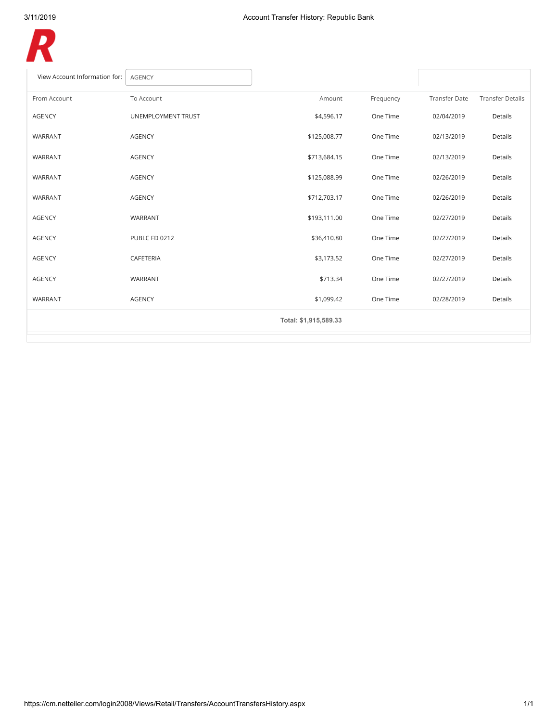

| View Account Information for: | <b>AGENCY</b>      |                       |           |                      |                         |
|-------------------------------|--------------------|-----------------------|-----------|----------------------|-------------------------|
| From Account                  | To Account         | Amount                | Frequency | <b>Transfer Date</b> | <b>Transfer Details</b> |
| <b>AGENCY</b>                 | UNEMPLOYMENT TRUST | \$4,596.17            | One Time  | 02/04/2019           | Details                 |
| WARRANT                       | <b>AGENCY</b>      | \$125,008.77          | One Time  | 02/13/2019           | Details                 |
| <b>WARRANT</b>                | <b>AGENCY</b>      | \$713,684.15          | One Time  | 02/13/2019           | Details                 |
| WARRANT                       | <b>AGENCY</b>      | \$125,088.99          | One Time  | 02/26/2019           | Details                 |
| WARRANT                       | <b>AGENCY</b>      | \$712,703.17          | One Time  | 02/26/2019           | Details                 |
| <b>AGENCY</b>                 | WARRANT            | \$193,111.00          | One Time  | 02/27/2019           | Details                 |
| <b>AGENCY</b>                 | PUBLC FD 0212      | \$36,410.80           | One Time  | 02/27/2019           | Details                 |
| <b>AGENCY</b>                 | CAFETERIA          | \$3,173.52            | One Time  | 02/27/2019           | Details                 |
| <b>AGENCY</b>                 | WARRANT            | \$713.34              | One Time  | 02/27/2019           | Details                 |
| WARRANT                       | <b>AGENCY</b>      | \$1,099.42            | One Time  | 02/28/2019           | Details                 |
|                               |                    | Total: \$1,915,589.33 |           |                      |                         |